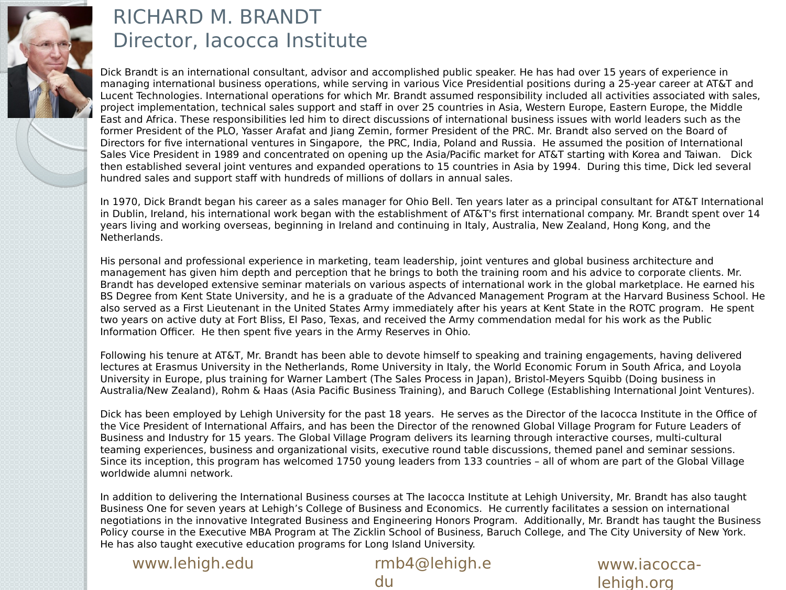

#### RICHARD M. BRANDT Director, Iacocca Institute

Dick Brandt is an international consultant, advisor and accomplished public speaker. He has had over 15 years of experience in managing international business operations, while serving in various Vice Presidential positions during a 25-year career at AT&T and Lucent Technologies. International operations for which Mr. Brandt assumed responsibility included all activities associated with sales, project implementation, technical sales support and staff in over 25 countries in Asia, Western Europe, Eastern Europe, the Middle East and Africa. These responsibilities led him to direct discussions of international business issues with world leaders such as the former President of the PLO, Yasser Arafat and Jiang Zemin, former President of the PRC. Mr. Brandt also served on the Board of Directors for five international ventures in Singapore, the PRC, India, Poland and Russia. He assumed the position of International Sales Vice President in 1989 and concentrated on opening up the Asia/Pacific market for AT&T starting with Korea and Taiwan. Dick then established several joint ventures and expanded operations to 15 countries in Asia by 1994. During this time, Dick led several hundred sales and support staff with hundreds of millions of dollars in annual sales.

In 1970, Dick Brandt began his career as a sales manager for Ohio Bell. Ten years later as a principal consultant for AT&T International in Dublin, Ireland, his international work began with the establishment of AT&T's first international company. Mr. Brandt spent over 14 years living and working overseas, beginning in Ireland and continuing in Italy, Australia, New Zealand, Hong Kong, and the Netherlands.

His personal and professional experience in marketing, team leadership, joint ventures and global business architecture and management has given him depth and perception that he brings to both the training room and his advice to corporate clients. Mr. Brandt has developed extensive seminar materials on various aspects of international work in the global marketplace. He earned his BS Degree from Kent State University, and he is a graduate of the Advanced Management Program at the Harvard Business School. He also served as a First Lieutenant in the United States Army immediately after his years at Kent State in the ROTC program. He spent two years on active duty at Fort Bliss, El Paso, Texas, and received the Army commendation medal for his work as the Public Information Officer. He then spent five years in the Army Reserves in Ohio.

Following his tenure at AT&T, Mr. Brandt has been able to devote himself to speaking and training engagements, having delivered lectures at Erasmus University in the Netherlands, Rome University in Italy, the World Economic Forum in South Africa, and Loyola University in Europe, plus training for Warner Lambert (The Sales Process in Japan), Bristol-Meyers Squibb (Doing business in Australia/New Zealand), Rohm & Haas (Asia Pacific Business Training), and Baruch College (Establishing International Joint Ventures).

Dick has been employed by Lehigh University for the past 18 years. He serves as the Director of the Iacocca Institute in the Office of the Vice President of International Affairs, and has been the Director of the renowned Global Village Program for Future Leaders of Business and Industry for 15 years. The Global Village Program delivers its learning through interactive courses, multi-cultural teaming experiences, business and organizational visits, executive round table discussions, themed panel and seminar sessions. Since its inception, this program has welcomed 1750 young leaders from 133 countries – all of whom are part of the Global Village worldwide alumni network.

In addition to delivering the International Business courses at The Iacocca Institute at Lehigh University, Mr. Brandt has also taught Business One for seven years at Lehigh's College of Business and Economics. He currently facilitates a session on international negotiations in the innovative Integrated Business and Engineering Honors Program. Additionally, Mr. Brandt has taught the Business Policy course in the Executive MBA Program at The Zicklin School of Business, Baruch College, and The City University of New York. He has also taught executive education programs for Long Island University.

www.lehigh.edu rmb4@lehigh.e

du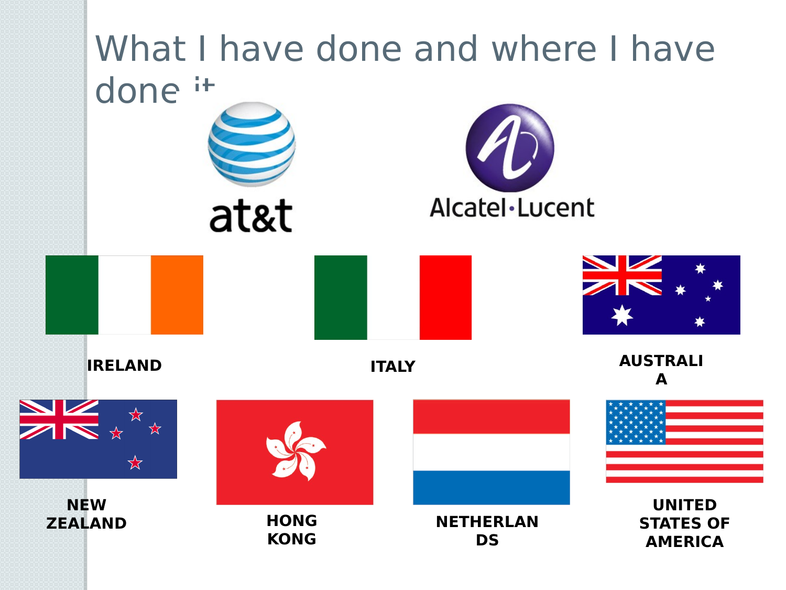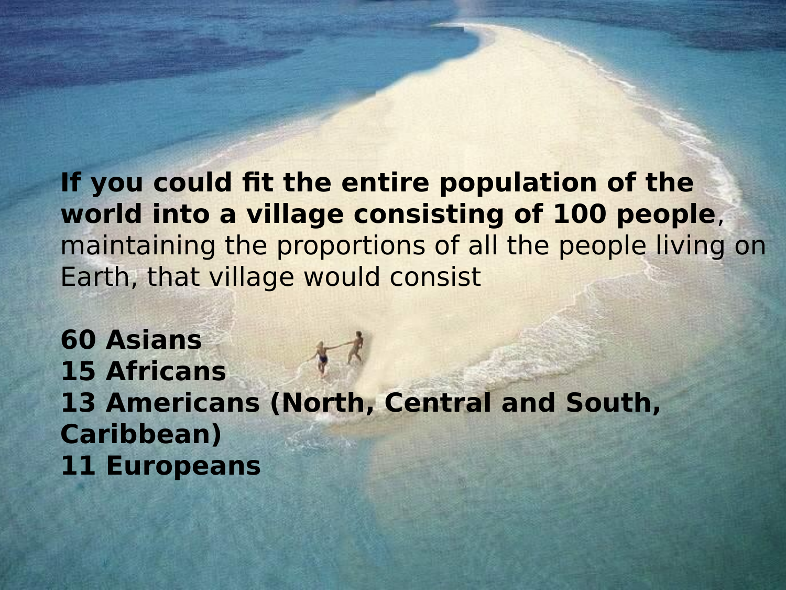**If you could fit the entire population of the world into a village consisting of 100 people**, maintaining the proportions of all the people living on Earth, that village would consist

**60 Asians 15 Africans 13 Americans (North, Central and South, Caribbean) 11 Europeans**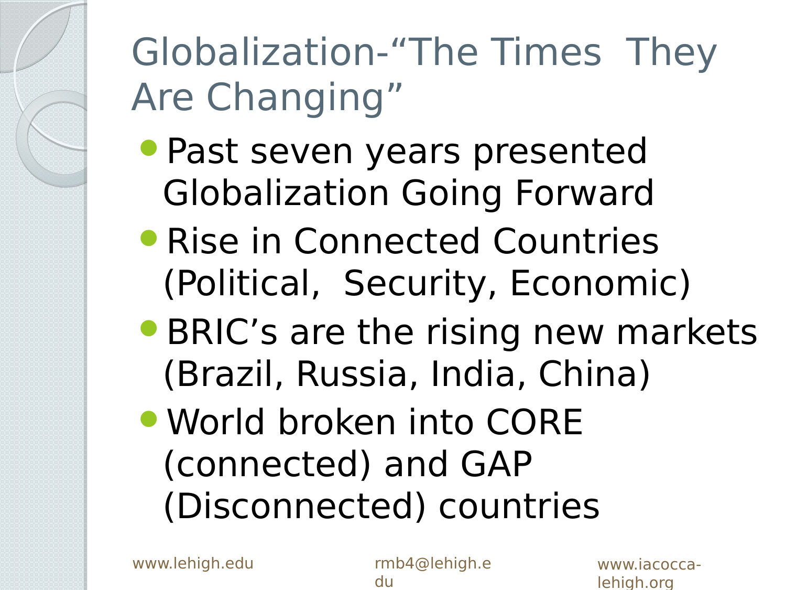## Globalization-"The Times They Are Changing"

- Past seven years presented Globalization Going Forward
- **Rise in Connected Countries** (Political, Security, Economic)
- **BRIC's are the rising new markets** (Brazil, Russia, India, China)
- World broken into CORE (connected) and GAP (Disconnected) countries

www.lehigh.edu rmb4@lehigh.e

du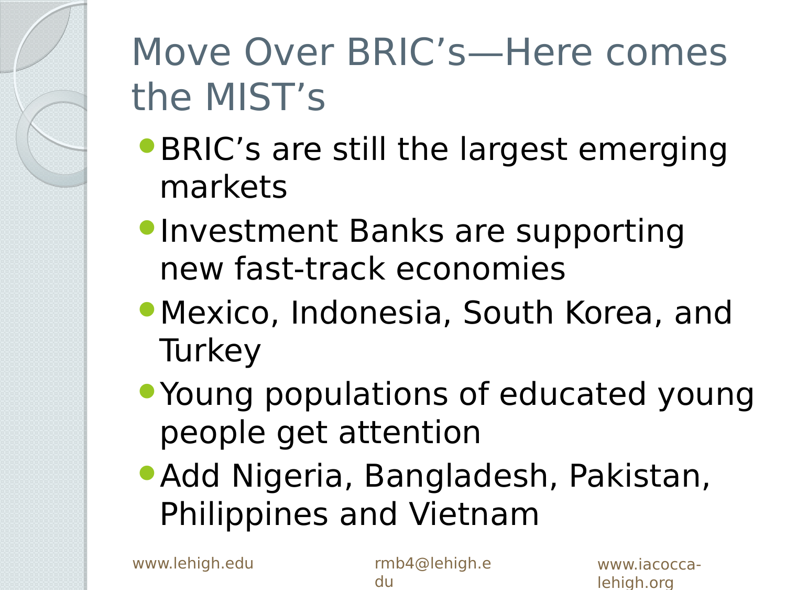### Move Over BRIC's—Here comes the MIST's

- **BRIC's are still the largest emerging** markets
- **Investment Banks are supporting** new fast-track economies
- Mexico, Indonesia, South Korea, and **Turkey**
- Young populations of educated young people get attention
- Add Nigeria, Bangladesh, Pakistan, Philippines and Vietnam

www.lehigh.edu rmb4@lehigh.e

du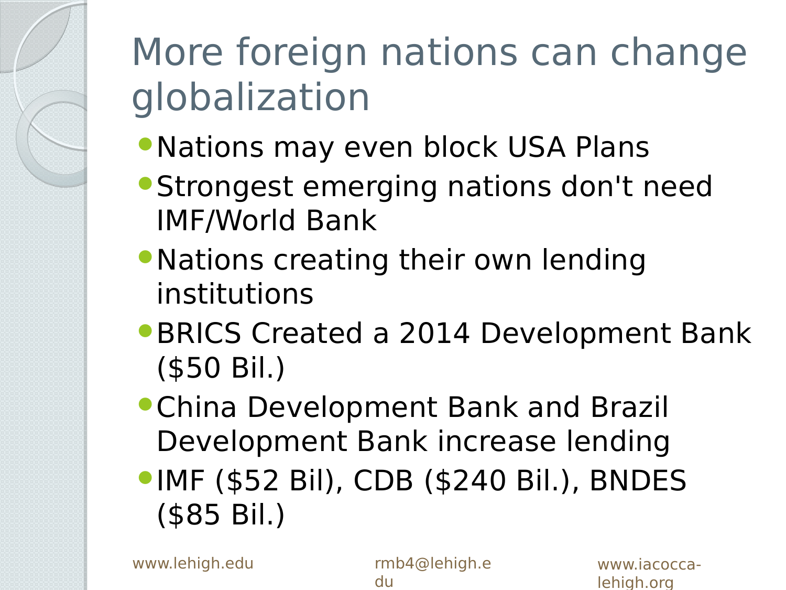### More foreign nations can change globalization

- Nations may even block USA Plans
- Strongest emerging nations don't need IMF/World Bank
- Nations creating their own lending institutions
- **BRICS Created a 2014 Development Bank** (\$50 Bil.)
- China Development Bank and Brazil Development Bank increase lending
- IMF (\$52 Bil), CDB (\$240 Bil.), BNDES (\$85 Bil.)

www.lehigh.edu rmb4@lehigh.e

du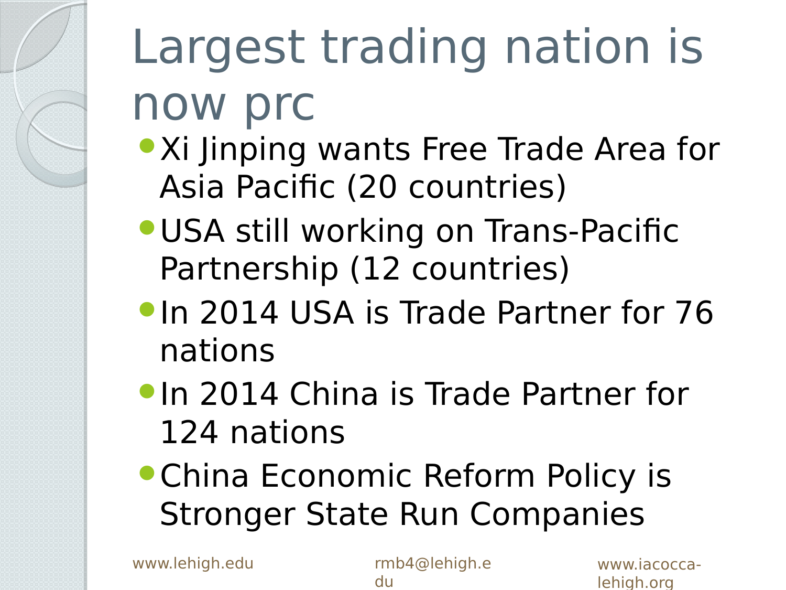# Largest trading nation is now prc

- **Xi Jinping wants Free Trade Area for** Asia Pacific (20 countries)
- USA still working on Trans-Pacific Partnership (12 countries)
- **In 2014 USA is Trade Partner for 76** nations
- **In 2014 China is Trade Partner for** 124 nations
- China Economic Reform Policy is Stronger State Run Companies

www.lehigh.edu rmb4@lehigh.e

du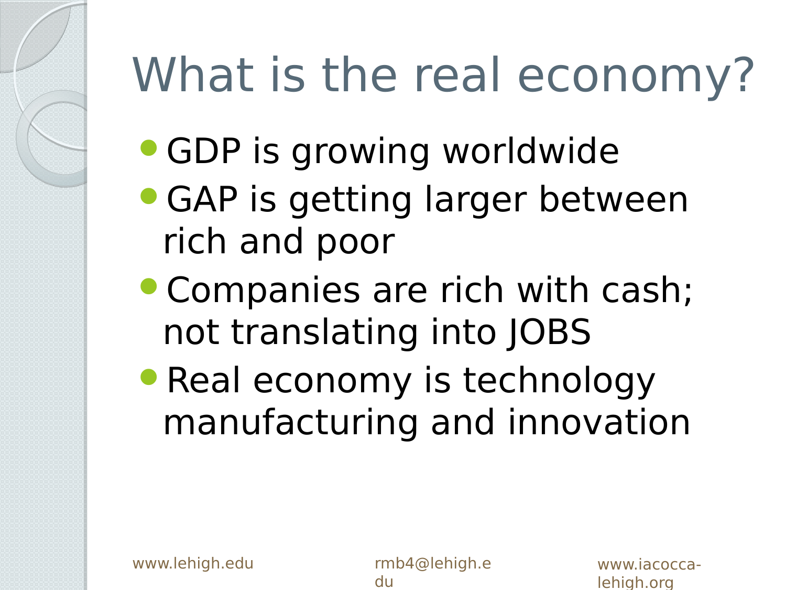## What is the real economy?

- GDP is growing worldwide
- GAP is getting larger between rich and poor
- Companies are rich with cash; not translating into JOBS
- Real economy is technology manufacturing and innovation

du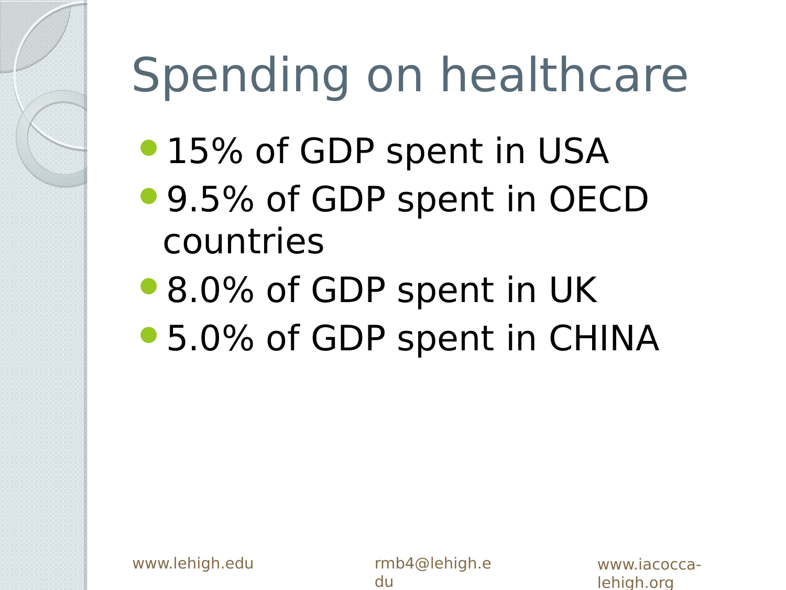## Spending on healthcare

- 15% of GDP spent in USA
- 9.5% of GDP spent in OECD countries
- 8.0% of GDP spent in UK
- 5.0% of GDP spent in CHINA

du